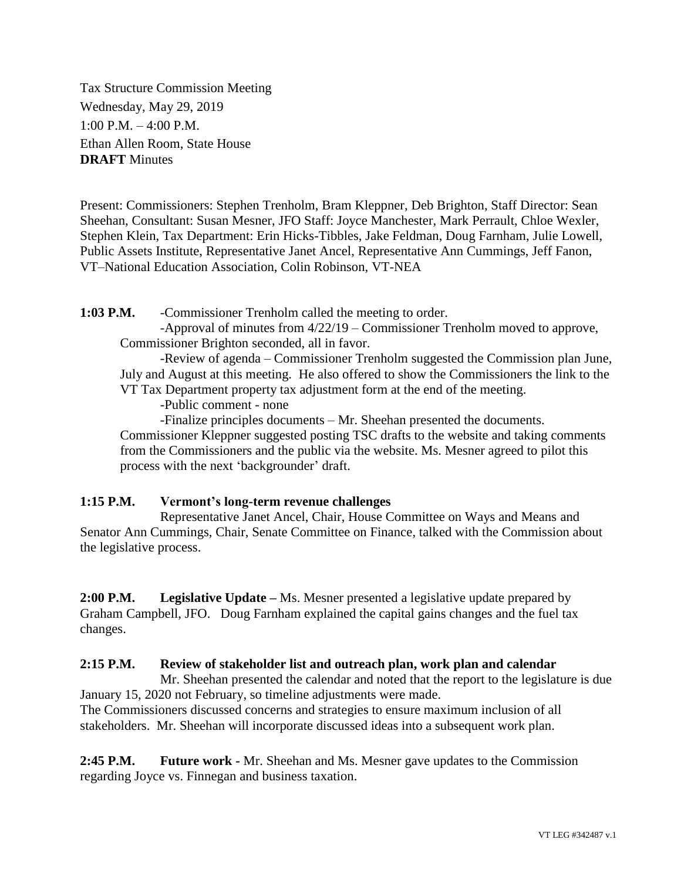Tax Structure Commission Meeting Wednesday, May 29, 2019 1:00 P.M. – 4:00 P.M. Ethan Allen Room, State House **DRAFT** Minutes

Present: Commissioners: Stephen Trenholm, Bram Kleppner, Deb Brighton, Staff Director: Sean Sheehan, Consultant: Susan Mesner, JFO Staff: Joyce Manchester, Mark Perrault, Chloe Wexler, Stephen Klein, Tax Department: Erin Hicks-Tibbles, Jake Feldman, Doug Farnham, Julie Lowell, Public Assets Institute, Representative Janet Ancel, Representative Ann Cummings, Jeff Fanon, VT–National Education Association, Colin Robinson, VT-NEA

**1:03 P.M.** -Commissioner Trenholm called the meeting to order.

-Approval of minutes from 4/22/19 – Commissioner Trenholm moved to approve, Commissioner Brighton seconded, all in favor.

-Review of agenda – Commissioner Trenholm suggested the Commission plan June, July and August at this meeting. He also offered to show the Commissioners the link to the VT Tax Department property tax adjustment form at the end of the meeting.

-Public comment - none

-Finalize principles documents – Mr. Sheehan presented the documents.

Commissioner Kleppner suggested posting TSC drafts to the website and taking comments from the Commissioners and the public via the website. Ms. Mesner agreed to pilot this process with the next 'backgrounder' draft.

## **1:15 P.M. Vermont's long-term revenue challenges**

Representative Janet Ancel, Chair, House Committee on Ways and Means and Senator Ann Cummings, Chair, Senate Committee on Finance, talked with the Commission about the legislative process.

**2:00 P.M. Legislative Update –** Ms. Mesner presented a legislative update prepared by Graham Campbell, JFO. Doug Farnham explained the capital gains changes and the fuel tax changes.

## **2:15 P.M. Review of stakeholder list and outreach plan, work plan and calendar**

Mr. Sheehan presented the calendar and noted that the report to the legislature is due January 15, 2020 not February, so timeline adjustments were made. The Commissioners discussed concerns and strategies to ensure maximum inclusion of all stakeholders. Mr. Sheehan will incorporate discussed ideas into a subsequent work plan.

**2:45 P.M. Future work -** Mr. Sheehan and Ms. Mesner gave updates to the Commission regarding Joyce vs. Finnegan and business taxation.